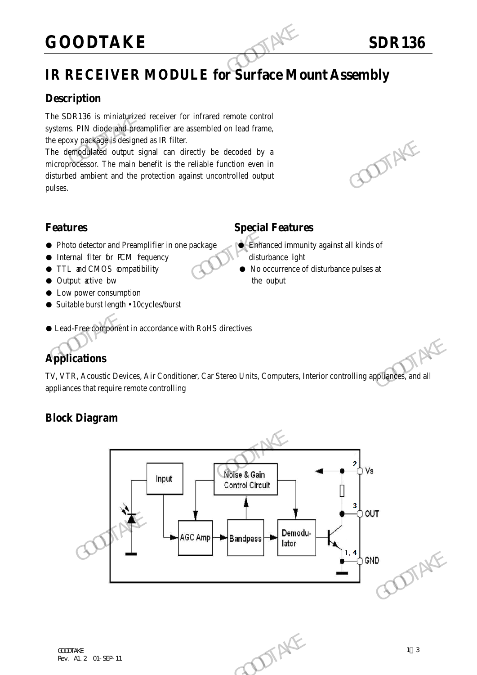## **GOODTAKE** SDR136

### **IR RECEIVER MODULE for Surface Mount Assembly**

#### **Description**

The SDR136 is miniaturized receiver for infrared remote control systems. PIN diode and preamplifier are assembled on lead frame, the epoxy package is designed as IR filter.

The demodulated output signal can directly be decoded by a microprocessor. The main benefit is the reliable function even in disturbed ambient and the protection against uncontrolled output pulses. GOODTAKE<br>
IR RECEIVER MODULE for Surface Mo<br>
Description<br>
The SDR136 is miniaturized receiver for infrared remote control<br>
systems. PIN diode and preamplifier are assembled on lead frame,<br>
the epoxy package is designed as The demographique of the translation of the model of the model of the model of the model of the microprocessor. The main benefit is the reliable function even in<br>disturbed umbient and the protection against uncontrolled ou

#### **Features Special Features**

- Photo detector and Preamplifier in one package Binhanced immunity against all kinds of
- Internal filter for PCM fequency disturbance light
- TTL and CMOS compatibility No occurrence of disturbance pulses at
- Output active bw the output the output
- Low power consumption
- Suitable burst length 10cycles/burst

#### ● Lead-Free component in accordance with RoHS directives

#### **Applications**

TV, VTR, Acoustic Devices, Air Conditioner, Car Stereo Units, Computers, Interior controlling appliances, and all appliances that require remote controlling

#### **Block Diagram**

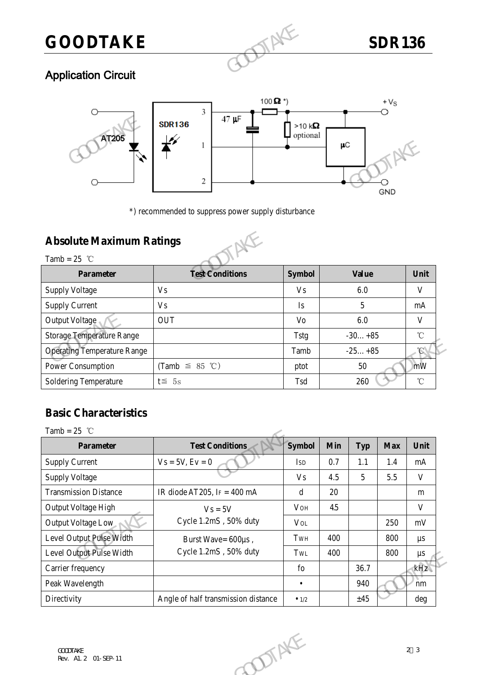# **GOODTAKE** SDR136

#### Application Circuit



#### **Absolute Maximum Ratings**



|                                    | 2                                                   |               | μC<br>GND    |
|------------------------------------|-----------------------------------------------------|---------------|--------------|
|                                    | *) recommended to suppress power supply disturbance |               |              |
| <b>Absolute Maximum Ratings</b>    |                                                     |               |              |
| Tamb = $25$ °C                     |                                                     |               |              |
| <b>Parameter</b>                   | <b>Test Conditions</b>                              | <b>Symbol</b> | <b>Value</b> |
| <b>Supply Voltage</b>              | V <sub>s</sub>                                      | <b>Vs</b>     | 6.0          |
|                                    |                                                     |               |              |
| <b>Supply Current</b>              | V <sub>S</sub>                                      | Is            | 5            |
| Output Voltage                     | <b>OUT</b>                                          | Vo            | 6.0          |
| <b>Storage Temperature Range</b>   |                                                     | <b>Tstg</b>   | $-30+85$     |
| <b>Operating Temperature Range</b> |                                                     | Tamb          | $-25+85$     |
| Power Consumption                  | (Tamb $\leq$ 85 °C)                                 | ptot          | 50           |

#### **Basic Characteristics**

| $\frac{1}{2}$                      |                                     | $\overline{\phantom{a}}$ |     |                 |            |                   |
|------------------------------------|-------------------------------------|--------------------------|-----|-----------------|------------|-------------------|
| <b>Operating Temperature Range</b> |                                     | Tamb                     |     | $-25+85$        |            | $\mathcal{C}$     |
| Power Consumption                  | (Tamb $\leq$ 85 °C)                 | ptot                     |     | 50              |            | mW                |
| <b>Soldering Temperature</b>       | $t \leq 5s$                         | Tsd                      |     | 260             |            | $^\circ\!{\rm C}$ |
|                                    |                                     |                          |     |                 |            |                   |
| <b>Basic Characteristics</b>       |                                     |                          |     |                 |            |                   |
| Tamb = $25$ °C                     |                                     |                          |     |                 |            |                   |
| <b>Parameter</b>                   | <b>Test Conditions</b>              | <b>Symbol</b>            | Min | <b>Typ</b>      | <b>Max</b> | Unit              |
| <b>Supply Current</b>              | $Vs = 5V, Ev = 0$                   | <b>ISD</b>               | 0.7 | 1.1             | 1.4        | mA                |
| <b>Supply Voltage</b>              |                                     | <b>Vs</b>                | 4.5 | $5\overline{)}$ | 5.5        | V                 |
| <b>Transmission Distance</b>       | IR diode AT205, IF = $400$ mA       | d                        | 20  |                 |            | m                 |
| Output Voltage High                | $Vs = 5V$                           | VOH                      | 4.5 |                 |            | V                 |
| Output Voltage Low                 | Cycle 1.2mS, 50% duty               | <b>VOL</b>               |     |                 | 250        | mV                |
| Level Output Pulse Width           | Burst Wave= 600µs,                  | TWH                      | 400 |                 | 800        | $\mu s$           |
| Level Output Pulse Width           | Cycle 1.2mS, 50% duty               | TWL                      | 400 |                 | 800        | $\mu s$           |
| Carrier frequency                  |                                     | fo                       |     | 36.7            |            | kHz               |
| Peak Wavelength                    |                                     | $\bullet$                |     | 940             |            | nm                |
| Directivity                        | Angle of half transmission distance | $\bullet$ 1/2            |     | ±45             |            | deg               |